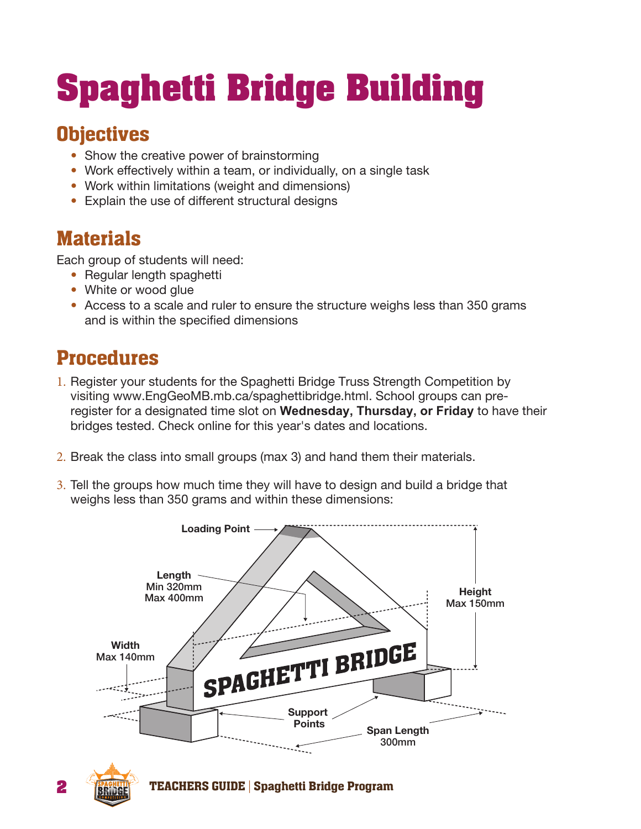## **Spaghetti Bridge Building**

## **Objectives**

- Show the creative power of brainstorming
- Work effectively within a team, or individually, on a single task
- Work within limitations (weight and dimensions)
- Explain the use of different structural designs

## **Materials**

Each group of students will need:

- Regular length spaghetti
- White or wood glue
- Access to a scale and ruler to ensure the structure weighs less than 350 grams and is within the specified dimensions

## Procedures

- 1. Register your students for the Spaghetti Bridge Truss Strength Competition by visiting www.EngGeoMB.mb.ca/spaghettibridge.html. School groups can preregister for a designated time slot on **Wednesday, Thursday, or Friday** to have their bridges tested. Check online for this year's dates and locations.
- 2. Break the class into small groups (max 3) and hand them their materials.
- 3. Tell the groups how much time they will have to design and build a bridge that weighs less than 350 grams and within these dimensions: